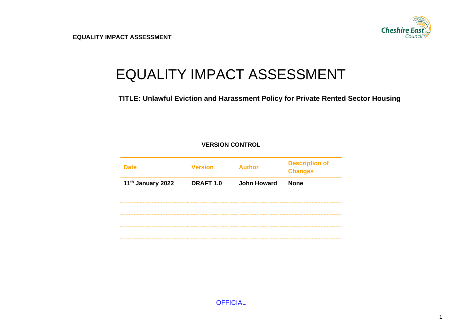

# EQUALITY IMPACT ASSESSMENT

**TITLE: Unlawful Eviction and Harassment Policy for Private Rented Sector Housing**

#### **VERSION CONTROL**

| <b>Date</b>       | <b>Version</b>   | <b>Author</b>      | <b>Description of</b><br><b>Changes</b> |
|-------------------|------------------|--------------------|-----------------------------------------|
| 11th January 2022 | <b>DRAFT 1.0</b> | <b>John Howard</b> | <b>None</b>                             |
|                   |                  |                    |                                         |
|                   |                  |                    |                                         |
|                   |                  |                    |                                         |
|                   |                  |                    |                                         |

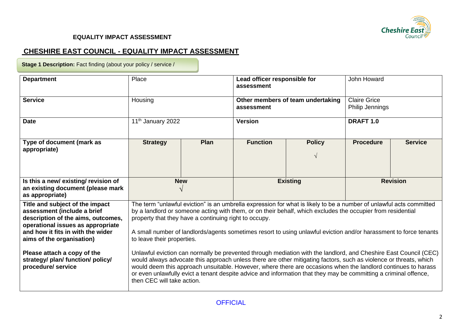

## **CHESHIRE EAST COUNCIL - EQUALITY IMPACT ASSESSMENT**

**Stage 1 Description:** Fact finding (about your policy / service /

| <b>Department</b>                                                                                   | Place                                                                                                                                                                                                                                                                                                                                                                                                                                                                                                    |                                                       | Lead officer responsible for<br>assessment |                                                                                                                     | John Howard          |                 |  |
|-----------------------------------------------------------------------------------------------------|----------------------------------------------------------------------------------------------------------------------------------------------------------------------------------------------------------------------------------------------------------------------------------------------------------------------------------------------------------------------------------------------------------------------------------------------------------------------------------------------------------|-------------------------------------------------------|--------------------------------------------|---------------------------------------------------------------------------------------------------------------------|----------------------|-----------------|--|
| <b>Service</b>                                                                                      | Housing                                                                                                                                                                                                                                                                                                                                                                                                                                                                                                  |                                                       |                                            | Other members of team undertaking                                                                                   | <b>Claire Grice</b>  |                 |  |
|                                                                                                     |                                                                                                                                                                                                                                                                                                                                                                                                                                                                                                          |                                                       | assessment                                 |                                                                                                                     |                      | Philip Jennings |  |
| <b>Date</b>                                                                                         | 11 <sup>th</sup> January 2022                                                                                                                                                                                                                                                                                                                                                                                                                                                                            |                                                       | <b>Version</b>                             |                                                                                                                     | DRAFT <sub>1.0</sub> |                 |  |
| Type of document (mark as                                                                           | <b>Strategy</b>                                                                                                                                                                                                                                                                                                                                                                                                                                                                                          | <b>Plan</b>                                           | <b>Function</b>                            | <b>Policy</b>                                                                                                       | <b>Procedure</b>     | <b>Service</b>  |  |
| appropriate)                                                                                        |                                                                                                                                                                                                                                                                                                                                                                                                                                                                                                          |                                                       |                                            | $\sqrt{ }$                                                                                                          |                      |                 |  |
| Is this a new/existing/revision of                                                                  |                                                                                                                                                                                                                                                                                                                                                                                                                                                                                                          | <b>New</b>                                            | <b>Existing</b>                            |                                                                                                                     | <b>Revision</b>      |                 |  |
| an existing document (please mark<br>as appropriate)                                                | $\mathcal{N}$                                                                                                                                                                                                                                                                                                                                                                                                                                                                                            |                                                       |                                            |                                                                                                                     |                      |                 |  |
| Title and subject of the impact                                                                     |                                                                                                                                                                                                                                                                                                                                                                                                                                                                                                          |                                                       |                                            | The term "unlawful eviction" is an umbrella expression for what is likely to be a number of unlawful acts committed |                      |                 |  |
| assessment (include a brief                                                                         |                                                                                                                                                                                                                                                                                                                                                                                                                                                                                                          |                                                       |                                            | by a landlord or someone acting with them, or on their behalf, which excludes the occupier from residential         |                      |                 |  |
| description of the aims, outcomes,                                                                  |                                                                                                                                                                                                                                                                                                                                                                                                                                                                                                          | property that they have a continuing right to occupy. |                                            |                                                                                                                     |                      |                 |  |
| operational issues as appropriate<br>and how it fits in with the wider<br>aims of the organisation) | A small number of landlords/agents sometimes resort to using unlawful eviction and/or harassment to force tenants<br>to leave their properties.                                                                                                                                                                                                                                                                                                                                                          |                                                       |                                            |                                                                                                                     |                      |                 |  |
| Please attach a copy of the<br>strategy/ plan/ function/ policy/<br>procedure/ service              | Unlawful eviction can normally be prevented through mediation with the landlord, and Cheshire East Council (CEC)<br>would always advocate this approach unless there are other mitigating factors, such as violence or threats, which<br>would deem this approach unsuitable. However, where there are occasions when the landlord continues to harass<br>or even unlawfully evict a tenant despite advice and information that they may be committing a criminal offence,<br>then CEC will take action. |                                                       |                                            |                                                                                                                     |                      |                 |  |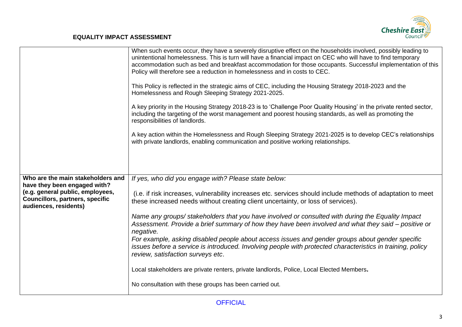

|                                                                                                                                     | When such events occur, they have a severely disruptive effect on the households involved, possibly leading to<br>unintentional homelessness. This is turn will have a financial impact on CEC who will have to find temporary<br>accommodation such as bed and breakfast accommodation for those occupants. Successful implementation of this<br>Policy will therefore see a reduction in homelessness and in costs to CEC.<br>This Policy is reflected in the strategic aims of CEC, including the Housing Strategy 2018-2023 and the |
|-------------------------------------------------------------------------------------------------------------------------------------|-----------------------------------------------------------------------------------------------------------------------------------------------------------------------------------------------------------------------------------------------------------------------------------------------------------------------------------------------------------------------------------------------------------------------------------------------------------------------------------------------------------------------------------------|
|                                                                                                                                     | Homelessness and Rough Sleeping Strategy 2021-2025.<br>A key priority in the Housing Strategy 2018-23 is to 'Challenge Poor Quality Housing' in the private rented sector,                                                                                                                                                                                                                                                                                                                                                              |
|                                                                                                                                     | including the targeting of the worst management and poorest housing standards, as well as promoting the<br>responsibilities of landlords.                                                                                                                                                                                                                                                                                                                                                                                               |
|                                                                                                                                     | A key action within the Homelessness and Rough Sleeping Strategy 2021-2025 is to develop CEC's relationships<br>with private landlords, enabling communication and positive working relationships.                                                                                                                                                                                                                                                                                                                                      |
|                                                                                                                                     |                                                                                                                                                                                                                                                                                                                                                                                                                                                                                                                                         |
| Who are the main stakeholders and                                                                                                   | If yes, who did you engage with? Please state below:                                                                                                                                                                                                                                                                                                                                                                                                                                                                                    |
| have they been engaged with?<br>(e.g. general public, employees,<br><b>Councillors, partners, specific</b><br>audiences, residents) | (i.e. if risk increases, vulnerability increases etc. services should include methods of adaptation to meet<br>these increased needs without creating client uncertainty, or loss of services).                                                                                                                                                                                                                                                                                                                                         |
|                                                                                                                                     | Name any groups/stakeholders that you have involved or consulted with during the Equality Impact<br>Assessment. Provide a brief summary of how they have been involved and what they said – positive or<br>negative.                                                                                                                                                                                                                                                                                                                    |
|                                                                                                                                     | For example, asking disabled people about access issues and gender groups about gender specific<br>issues before a service is introduced. Involving people with protected characteristics in training, policy<br>review, satisfaction surveys etc.                                                                                                                                                                                                                                                                                      |
|                                                                                                                                     | Local stakeholders are private renters, private landlords, Police, Local Elected Members.                                                                                                                                                                                                                                                                                                                                                                                                                                               |
|                                                                                                                                     | No consultation with these groups has been carried out.                                                                                                                                                                                                                                                                                                                                                                                                                                                                                 |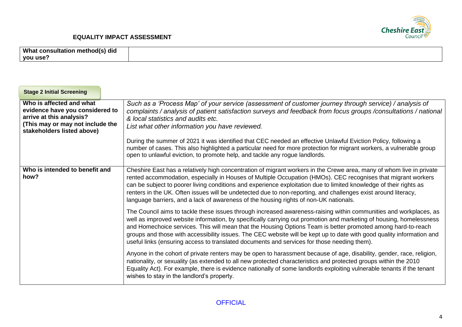

| What consultation method(s) did<br>you use?                                                                                                               |                                                                                                                                                                                                                                                                                                                                                                                                                                                                                                                                                                                  |
|-----------------------------------------------------------------------------------------------------------------------------------------------------------|----------------------------------------------------------------------------------------------------------------------------------------------------------------------------------------------------------------------------------------------------------------------------------------------------------------------------------------------------------------------------------------------------------------------------------------------------------------------------------------------------------------------------------------------------------------------------------|
| <b>Stage 2 Initial Screening</b>                                                                                                                          |                                                                                                                                                                                                                                                                                                                                                                                                                                                                                                                                                                                  |
| Who is affected and what<br>evidence have you considered to<br>arrive at this analysis?<br>(This may or may not include the<br>stakeholders listed above) | Such as a 'Process Map' of your service (assessment of customer journey through service) / analysis of<br>complaints / analysis of patient satisfaction surveys and feedback from focus groups / consultations / national<br>& local statistics and audits etc.<br>List what other information you have reviewed.                                                                                                                                                                                                                                                                |
|                                                                                                                                                           | During the summer of 2021 it was identified that CEC needed an effective Unlawful Eviction Policy, following a<br>number of cases. This also highlighted a particular need for more protection for migrant workers, a vulnerable group<br>open to unlawful eviction, to promote help, and tackle any rogue landlords.                                                                                                                                                                                                                                                            |
| Who is intended to benefit and<br>how?                                                                                                                    | Cheshire East has a relatively high concentration of migrant workers in the Crewe area, many of whom live in private<br>rented accommodation, especially in Houses of Multiple Occupation (HMOs). CEC recognises that migrant workers<br>can be subject to poorer living conditions and experience exploitation due to limited knowledge of their rights as<br>renters in the UK. Often issues will be undetected due to non-reporting, and challenges exist around literacy,<br>language barriers, and a lack of awareness of the housing rights of non-UK nationals.           |
|                                                                                                                                                           | The Council aims to tackle these issues through increased awareness-raising within communities and workplaces, as<br>well as improved website information, by specifically carrying out promotion and marketing of housing, homelessness<br>and Homechoice services. This will mean that the Housing Options Team is better promoted among hard-to-reach<br>groups and those with accessibility issues. The CEC website will be kept up to date with good quality information and<br>useful links (ensuring access to translated documents and services for those needing them). |
|                                                                                                                                                           | Anyone in the cohort of private renters may be open to harassment because of age, disability, gender, race, religion,<br>nationality, or sexuality (as extended to all new protected characteristics and protected groups within the 2010<br>Equality Act). For example, there is evidence nationally of some landlords exploiting vulnerable tenants if the tenant<br>wishes to stay in the landlord's property.                                                                                                                                                                |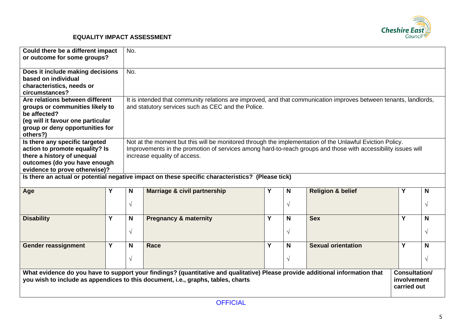

| Could there be a different impact<br>or outcome for some groups?                                                                                                                                                  |   | No.                                                                                                                                                                                                                                                       |                                                                                                                                                                         |   |           |                                                    |   |               |
|-------------------------------------------------------------------------------------------------------------------------------------------------------------------------------------------------------------------|---|-----------------------------------------------------------------------------------------------------------------------------------------------------------------------------------------------------------------------------------------------------------|-------------------------------------------------------------------------------------------------------------------------------------------------------------------------|---|-----------|----------------------------------------------------|---|---------------|
| Does it include making decisions<br>based on individual<br>characteristics, needs or<br>circumstances?                                                                                                            |   | No.                                                                                                                                                                                                                                                       |                                                                                                                                                                         |   |           |                                                    |   |               |
| Are relations between different<br>groups or communities likely to<br>be affected?<br>(eg will it favour one particular<br>group or deny opportunities for<br>others?)                                            |   |                                                                                                                                                                                                                                                           | It is intended that community relations are improved, and that communication improves between tenants, landlords,<br>and statutory services such as CEC and the Police. |   |           |                                                    |   |               |
| Is there any specific targeted<br>action to promote equality? Is<br>there a history of unequal<br>outcomes (do you have enough<br>evidence to prove otherwise)?                                                   |   | Not at the moment but this will be monitored through the implementation of the Unlawful Eviction Policy.<br>Improvements in the promotion of services among hard-to-reach groups and those with accessibility issues will<br>increase equality of access. |                                                                                                                                                                         |   |           |                                                    |   |               |
|                                                                                                                                                                                                                   |   |                                                                                                                                                                                                                                                           | Is there an actual or potential negative impact on these specific characteristics? (Please tick)                                                                        |   |           |                                                    |   |               |
| Age                                                                                                                                                                                                               | Y | N                                                                                                                                                                                                                                                         | <b>Marriage &amp; civil partnership</b>                                                                                                                                 | Y | N         | <b>Religion &amp; belief</b>                       | Y | N             |
|                                                                                                                                                                                                                   |   | $\sqrt{ }$                                                                                                                                                                                                                                                |                                                                                                                                                                         |   | $\sqrt{}$ |                                                    |   | $\mathcal{N}$ |
| <b>Disability</b>                                                                                                                                                                                                 | Y | N                                                                                                                                                                                                                                                         | <b>Pregnancy &amp; maternity</b>                                                                                                                                        | Y | N         | <b>Sex</b>                                         | Y | N             |
|                                                                                                                                                                                                                   |   | $\sqrt{ }$                                                                                                                                                                                                                                                |                                                                                                                                                                         |   | $\sqrt{}$ |                                                    |   | $\mathcal{N}$ |
| <b>Gender reassignment</b>                                                                                                                                                                                        | Y | N                                                                                                                                                                                                                                                         | Race                                                                                                                                                                    | Y | N         | <b>Sexual orientation</b>                          | Y | N             |
|                                                                                                                                                                                                                   |   | $\sqrt{ }$                                                                                                                                                                                                                                                |                                                                                                                                                                         |   | $\sqrt{}$ |                                                    |   | $\sqrt{ }$    |
| What evidence do you have to support your findings? (quantitative and qualitative) Please provide additional information that<br>you wish to include as appendices to this document, i.e., graphs, tables, charts |   |                                                                                                                                                                                                                                                           |                                                                                                                                                                         |   |           | <b>Consultation/</b><br>involvement<br>carried out |   |               |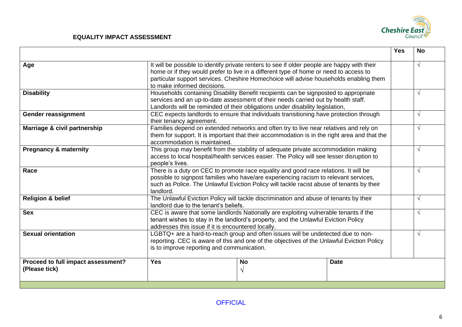

|                                                     |                                                                                                                                                                                                                                                                                       |                                                                                                                                                                                                                       |                                                                                                                                                                                      | <b>Yes</b> | <b>No</b>  |
|-----------------------------------------------------|---------------------------------------------------------------------------------------------------------------------------------------------------------------------------------------------------------------------------------------------------------------------------------------|-----------------------------------------------------------------------------------------------------------------------------------------------------------------------------------------------------------------------|--------------------------------------------------------------------------------------------------------------------------------------------------------------------------------------|------------|------------|
| Age                                                 | to make informed decisions.                                                                                                                                                                                                                                                           | home or if they would prefer to live in a different type of home or need to access to                                                                                                                                 | It will be possible to identify private renters to see if older people are happy with their<br>particular support services. Cheshire Homechoice will advise households enabling them |            | $\sqrt{ }$ |
| <b>Disability</b>                                   | Households containing Disability Benefit recipients can be signposted to appropriate<br>services and an up-to-date assessment of their needs carried out by health staff.<br>Landlords will be reminded of their obligations under disability legislation,                            |                                                                                                                                                                                                                       |                                                                                                                                                                                      |            | $\sqrt{ }$ |
| <b>Gender reassignment</b>                          |                                                                                                                                                                                                                                                                                       | CEC expects landlords to ensure that individuals transitioning have protection through<br>their tenancy agreement.                                                                                                    |                                                                                                                                                                                      |            |            |
| Marriage & civil partnership                        |                                                                                                                                                                                                                                                                                       | Families depend on extended networks and often try to live near relatives and rely on<br>them for support. It is important that their accommodation is in the right area and that the<br>accommodation is maintained. |                                                                                                                                                                                      |            |            |
| <b>Pregnancy &amp; maternity</b>                    | This group may benefit from the stability of adequate private accommodation making<br>access to local hospital/health services easier. The Policy will see lesser disruption to<br>people's lives.                                                                                    |                                                                                                                                                                                                                       |                                                                                                                                                                                      |            | $\sqrt{ }$ |
| Race                                                | There is a duty on CEC to promote race equality and good race relations. It will be<br>possible to signpost families who have/are experiencing racism to relevant services,<br>such as Police. The Unlawful Eviction Policy will tackle racist abuse of tenants by their<br>landlord. |                                                                                                                                                                                                                       |                                                                                                                                                                                      |            | $\sqrt{ }$ |
| <b>Religion &amp; belief</b>                        | The Unlawful Eviction Policy will tackle discrimination and abuse of tenants by their<br>landlord due to the tenant's beliefs.                                                                                                                                                        |                                                                                                                                                                                                                       |                                                                                                                                                                                      |            | $\sqrt{ }$ |
| <b>Sex</b>                                          | CEC is aware that some landlords Nationally are exploiting vulnerable tenants if the<br>tenant wishes to stay in the landlord's property, and the Unlawful Eviction Policy<br>addresses this issue if it is encountered locally.                                                      |                                                                                                                                                                                                                       |                                                                                                                                                                                      |            | $\sqrt{ }$ |
| <b>Sexual orientation</b>                           | LGBTQ+ are a hard-to-reach group and often issues will be undetected due to non-<br>reporting. CEC is aware of this and one of the objectives of the Unlawful Eviction Policy<br>is to improve reporting and communication.                                                           |                                                                                                                                                                                                                       |                                                                                                                                                                                      |            | $\sqrt{ }$ |
| Proceed to full impact assessment?<br>(Please tick) | <b>Yes</b>                                                                                                                                                                                                                                                                            | <b>No</b><br>V                                                                                                                                                                                                        | <b>Date</b>                                                                                                                                                                          |            |            |
|                                                     |                                                                                                                                                                                                                                                                                       |                                                                                                                                                                                                                       |                                                                                                                                                                                      |            |            |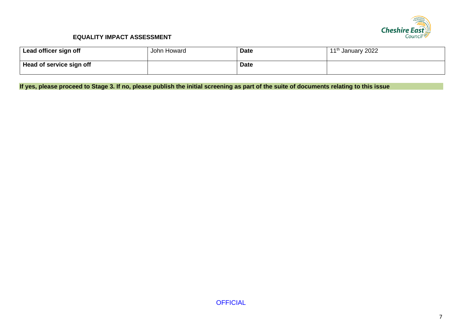

| Lead officer sign off    | John Howard | <b>Date</b> | 11 <sup>th</sup> January 2022 |
|--------------------------|-------------|-------------|-------------------------------|
| Head of service sign off |             | <b>Date</b> |                               |

**If yes, please proceed to Stage 3. If no, please publish the initial screening as part of the suite of documents relating to this issue**

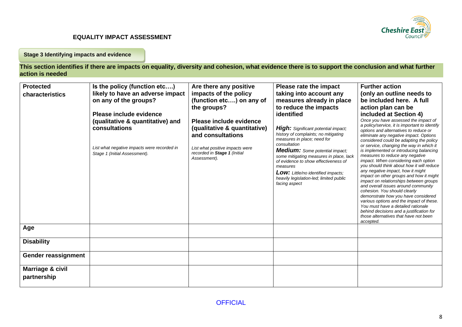

**Stage 3 Identifying impacts and evidence**

**This section identifies if there are impacts on equality, diversity and cohesion, what evidence there is to support the conclusion and what further action is needed**

| <b>Protected</b><br>characteristics | Is the policy (function etc)<br>likely to have an adverse impact<br>on any of the groups?<br>Please include evidence<br>(qualitative & quantitative) and<br>consultations<br>List what negative impacts were recorded in<br>Stage 1 (Initial Assessment). | Are there any positive<br>impacts of the policy<br>(function etc) on any of<br>the groups?<br>Please include evidence<br>(qualitative & quantitative)<br>and consultations<br>List what positive impacts were<br>recorded in Stage 1 (Initial<br>Assessment). | Please rate the impact<br>taking into account any<br>measures already in place<br>to reduce the impacts<br>identified<br><b>High:</b> Significant potential impact;<br>history of complaints; no mitigating<br>measures in place; need for<br>consultation<br><b>Medium:</b> Some potential impact;<br>some mitigating measures in place, lack<br>of evidence to show effectiveness of<br>measures<br><b>Low:</b> Little/no identified impacts;<br>heavily legislation-led; limited public<br>facing aspect | <b>Further action</b><br>(only an outline needs to<br>be included here. A full<br>action plan can be<br>included at Section 4)<br>Once you have assessed the impact of<br>a policy/service, it is important to identify<br>options and alternatives to reduce or<br>eliminate any negative impact. Options<br>considered could be adapting the policy<br>or service, changing the way in which it<br>is implemented or introducing balancing<br>measures to reduce any negative<br>impact. When considering each option<br>you should think about how it will reduce<br>any negative impact, how it might<br>impact on other groups and how it might<br>impact on relationships between groups<br>and overall issues around community<br>cohesion. You should clearly<br>demonstrate how you have considered<br>various options and the impact of these.<br>You must have a detailed rationale<br>behind decisions and a justification for<br>those alternatives that have not been<br>accepted. |
|-------------------------------------|-----------------------------------------------------------------------------------------------------------------------------------------------------------------------------------------------------------------------------------------------------------|---------------------------------------------------------------------------------------------------------------------------------------------------------------------------------------------------------------------------------------------------------------|-------------------------------------------------------------------------------------------------------------------------------------------------------------------------------------------------------------------------------------------------------------------------------------------------------------------------------------------------------------------------------------------------------------------------------------------------------------------------------------------------------------|--------------------------------------------------------------------------------------------------------------------------------------------------------------------------------------------------------------------------------------------------------------------------------------------------------------------------------------------------------------------------------------------------------------------------------------------------------------------------------------------------------------------------------------------------------------------------------------------------------------------------------------------------------------------------------------------------------------------------------------------------------------------------------------------------------------------------------------------------------------------------------------------------------------------------------------------------------------------------------------------------|
| Age                                 |                                                                                                                                                                                                                                                           |                                                                                                                                                                                                                                                               |                                                                                                                                                                                                                                                                                                                                                                                                                                                                                                             |                                                                                                                                                                                                                                                                                                                                                                                                                                                                                                                                                                                                                                                                                                                                                                                                                                                                                                                                                                                                  |
| <b>Disability</b>                   |                                                                                                                                                                                                                                                           |                                                                                                                                                                                                                                                               |                                                                                                                                                                                                                                                                                                                                                                                                                                                                                                             |                                                                                                                                                                                                                                                                                                                                                                                                                                                                                                                                                                                                                                                                                                                                                                                                                                                                                                                                                                                                  |
| Gender reassignment                 |                                                                                                                                                                                                                                                           |                                                                                                                                                                                                                                                               |                                                                                                                                                                                                                                                                                                                                                                                                                                                                                                             |                                                                                                                                                                                                                                                                                                                                                                                                                                                                                                                                                                                                                                                                                                                                                                                                                                                                                                                                                                                                  |
| Marriage & civil<br>partnership     |                                                                                                                                                                                                                                                           |                                                                                                                                                                                                                                                               |                                                                                                                                                                                                                                                                                                                                                                                                                                                                                                             |                                                                                                                                                                                                                                                                                                                                                                                                                                                                                                                                                                                                                                                                                                                                                                                                                                                                                                                                                                                                  |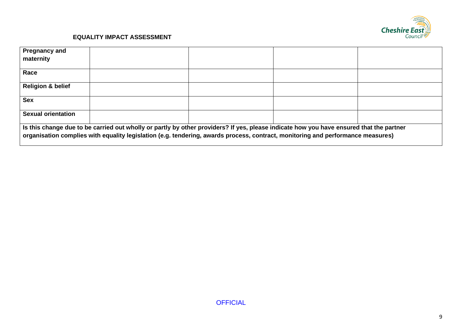

| <b>Pregnancy and</b>                                                                                                                                                                                                                                                       |  |  |  |  |  |
|----------------------------------------------------------------------------------------------------------------------------------------------------------------------------------------------------------------------------------------------------------------------------|--|--|--|--|--|
| maternity                                                                                                                                                                                                                                                                  |  |  |  |  |  |
| Race                                                                                                                                                                                                                                                                       |  |  |  |  |  |
| <b>Religion &amp; belief</b>                                                                                                                                                                                                                                               |  |  |  |  |  |
| <b>Sex</b>                                                                                                                                                                                                                                                                 |  |  |  |  |  |
| <b>Sexual orientation</b>                                                                                                                                                                                                                                                  |  |  |  |  |  |
| Is this change due to be carried out wholly or partly by other providers? If yes, please indicate how you have ensured that the partner<br>organisation complies with equality legislation (e.g. tendering, awards process, contract, monitoring and performance measures) |  |  |  |  |  |